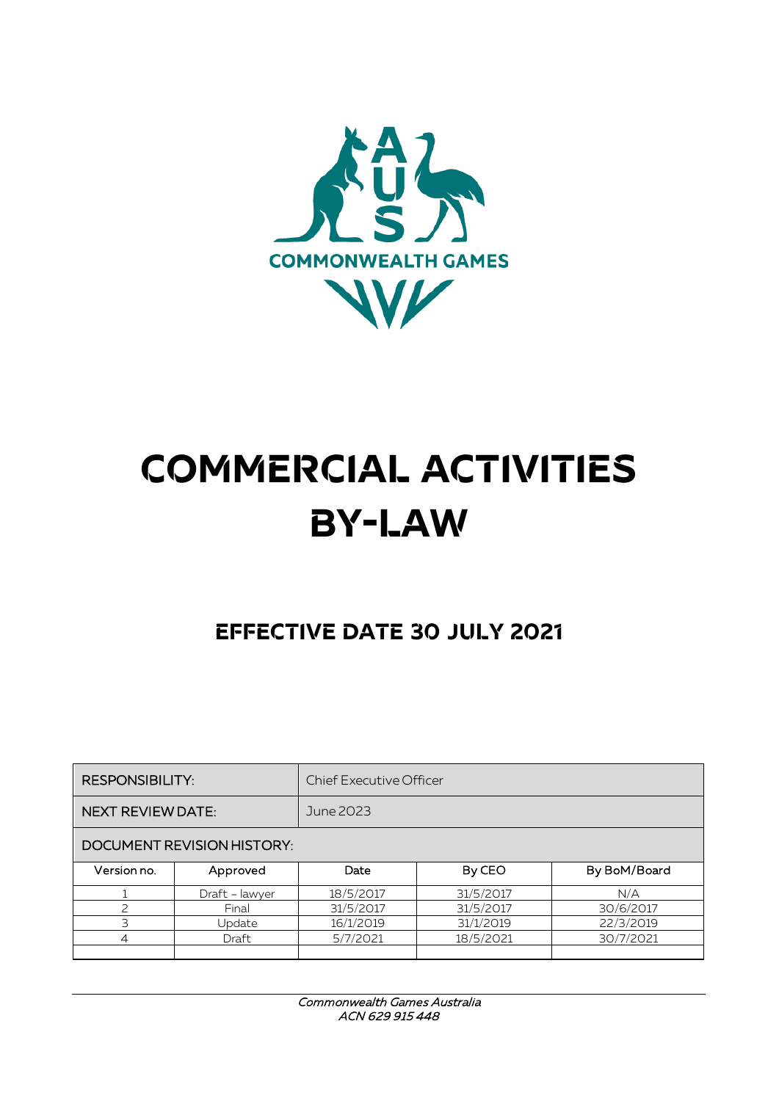

# **COMMERCIAL ACTIVITIES BY-LAW**

## **EFFECTIVE DATE 30 JULY 2021**

| <b>RESPONSIBILITY:</b>     |                | <b>Chief Executive Officer</b> |           |              |  |
|----------------------------|----------------|--------------------------------|-----------|--------------|--|
| <b>NEXT REVIEW DATE:</b>   |                | June 2023                      |           |              |  |
| DOCUMENT REVISION HISTORY: |                |                                |           |              |  |
| Version no.                | Approved       | Date                           | By CEO    | By BoM/Board |  |
|                            | Draft - lawyer | 18/5/2017                      | 31/5/2017 | N/A          |  |
|                            | Final          | 31/5/2017                      | 31/5/2017 | 30/6/2017    |  |
| 3                          | Update         | 16/1/2019                      | 31/1/2019 | 22/3/2019    |  |
| 4                          | Draft          | 5/7/2021                       | 18/5/2021 | 30/7/2021    |  |
|                            |                |                                |           |              |  |

Commonwealth Games Australia ACN 629 915 448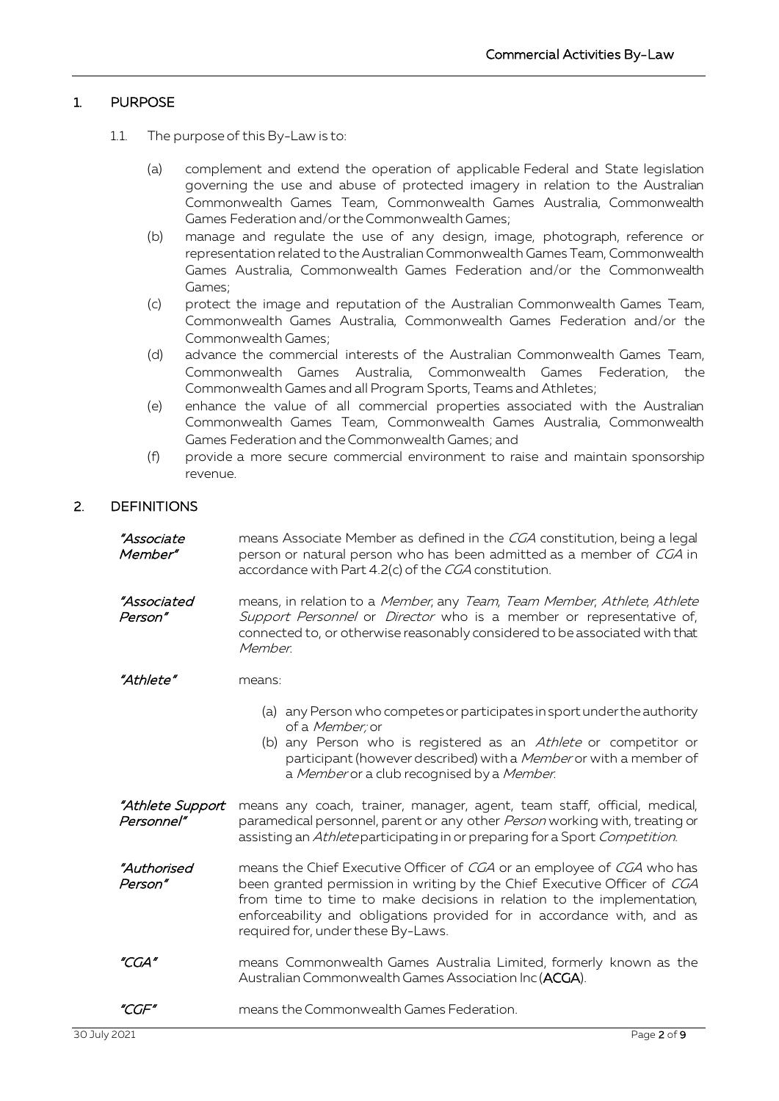### 1. PURPOSE

- 1.1. The purpose of this By-Law is to:
	- (a) complement and extend the operation of applicable Federal and State legislation governing the use and abuse of protected imagery in relation to the Australian Commonwealth Games Team, Commonwealth Games Australia, Commonwealth Games Federation and/or the Commonwealth Games;
	- (b) manage and regulate the use of any design, image, photograph, reference or representation related to the Australian Commonwealth Games Team, Commonwealth Games Australia, Commonwealth Games Federation and/or the Commonwealth Games;
	- (c) protect the image and reputation of the Australian Commonwealth Games Team, Commonwealth Games Australia, Commonwealth Games Federation and/or the Commonwealth Games;
	- (d) advance the commercial interests of the Australian Commonwealth Games Team, Commonwealth Games Australia, Commonwealth Games Federation, the Commonwealth Games and all Program Sports, Teams and Athletes;
	- (e) enhance the value of all commercial properties associated with the Australian Commonwealth Games Team, Commonwealth Games Australia, Commonwealth Games Federation and the Commonwealth Games; and
	- (f) provide a more secure commercial environment to raise and maintain sponsorship revenue.

#### 2. DEFINITIONS

| "Associate<br>Member"                 | means Associate Member as defined in the CGA constitution, being a legal<br>person or natural person who has been admitted as a member of CGA in<br>accordance with Part 4.2(c) of the CGA constitution.                                                                                                                                     |  |  |
|---------------------------------------|----------------------------------------------------------------------------------------------------------------------------------------------------------------------------------------------------------------------------------------------------------------------------------------------------------------------------------------------|--|--|
| <i>"Associated</i><br>Person"         | means, in relation to a Member, any Team, Team Member, Athlete, Athlete<br>Support Personnel or Director who is a member or representative of,<br>connected to, or otherwise reasonably considered to be associated with that<br>Member.                                                                                                     |  |  |
| "Athlete"                             | means:                                                                                                                                                                                                                                                                                                                                       |  |  |
|                                       | (a) any Person who competes or participates in sport under the authority<br>of a Member; or<br>(b) any Person who is registered as an Athlete or competitor or<br>participant (however described) with a Member or with a member of<br>a Member or a club recognised by a Member.                                                            |  |  |
| <i>"Athlete Support</i><br>Personnel" | means any coach, trainer, manager, agent, team staff, official, medical,<br>paramedical personnel, parent or any other Person working with, treating or<br>assisting an Athleteparticipating in or preparing for a Sport Competition.                                                                                                        |  |  |
| "Authorised<br>Person"                | means the Chief Executive Officer of CGA or an employee of CGA who has<br>been granted permission in writing by the Chief Executive Officer of CGA<br>from time to time to make decisions in relation to the implementation,<br>enforceability and obligations provided for in accordance with, and as<br>required for, under these By-Laws. |  |  |
| "CGA"                                 | means Commonwealth Games Australia Limited, formerly known as the<br>Australian Commonwealth Games Association Inc (ACGA).                                                                                                                                                                                                                   |  |  |
| "CGF"                                 | means the Commonwealth Games Federation.                                                                                                                                                                                                                                                                                                     |  |  |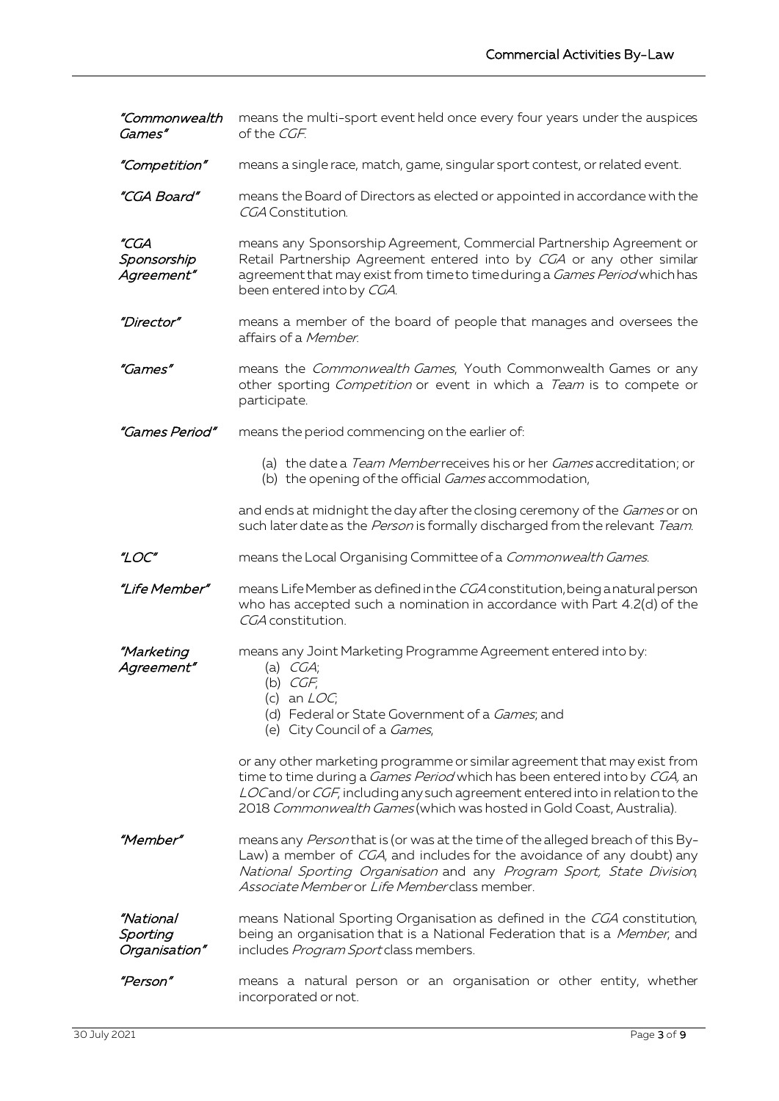"Commonwealth Games" means the multi-sport event held once every four years under the auspices of the CGF.

- "Competition" means a single race, match, game, singular sport contest, or related event.
- "CGA Board" means the Board of Directors as elected or appointed in accordance with the CGA Constitution.

"CGA Sponsorship Agreement" means any Sponsorship Agreement, Commercial Partnership Agreement or Retail Partnership Agreement entered into by CGA or any other similar agreement that may exist from time to time during a *Games Period* which has been entered into by CGA.

"Director" means a member of the board of people that manages and oversees the affairs of a Member.

"Games" means the Commonwealth Games, Youth Commonwealth Games or any other sporting *Competition* or event in which a *Team* is to compete or participate.

- "Games Period" means the period commencing on the earlier of:
	- (a) the date a Team Memberreceives his or her Games accreditation; or
	- (b) the opening of the official Games accommodation,

and ends at midnight the day after the closing ceremony of the *Games* or on such later date as the *Person* is formally discharged from the relevant Team.

"LOC" means the Local Organising Committee of a Commonwealth Games.

"Life Member" means Life Member as defined in the CGA constitution, being a natural person who has accepted such a nomination in accordance with Part 4.2(d) of the CGA constitution.

"Marketing Agreement"

#### means any Joint Marketing Programme Agreement entered into by: (a)  $CGA$

- (b) CGF;
- (c) an  $LOC$ :
- 
- (d) Federal or State Government of a *Games*; and
- (e) City Council of a Games,

or any other marketing programme or similar agreement that may exist from time to time during a *Games Period* which has been entered into by CGA, an LOC and/or CGF, including any such agreement entered into in relation to the 2018 Commonwealth Games (which was hosted in Gold Coast, Australia).

- "Member" means any Person that is (or was at the time of the alleged breach of this By-Law) a member of *CGA*, and includes for the avoidance of any doubt) any National Sporting Organisation and any Program Sport, State Division, Associate Member or Life Member class member.
- "National **Sporting** Organisation" means National Sporting Organisation as defined in the CGA constitution, being an organisation that is a National Federation that is a Member, and includes Program Sport class members.
- "Person" means a natural person or an organisation or other entity, whether incorporated or not.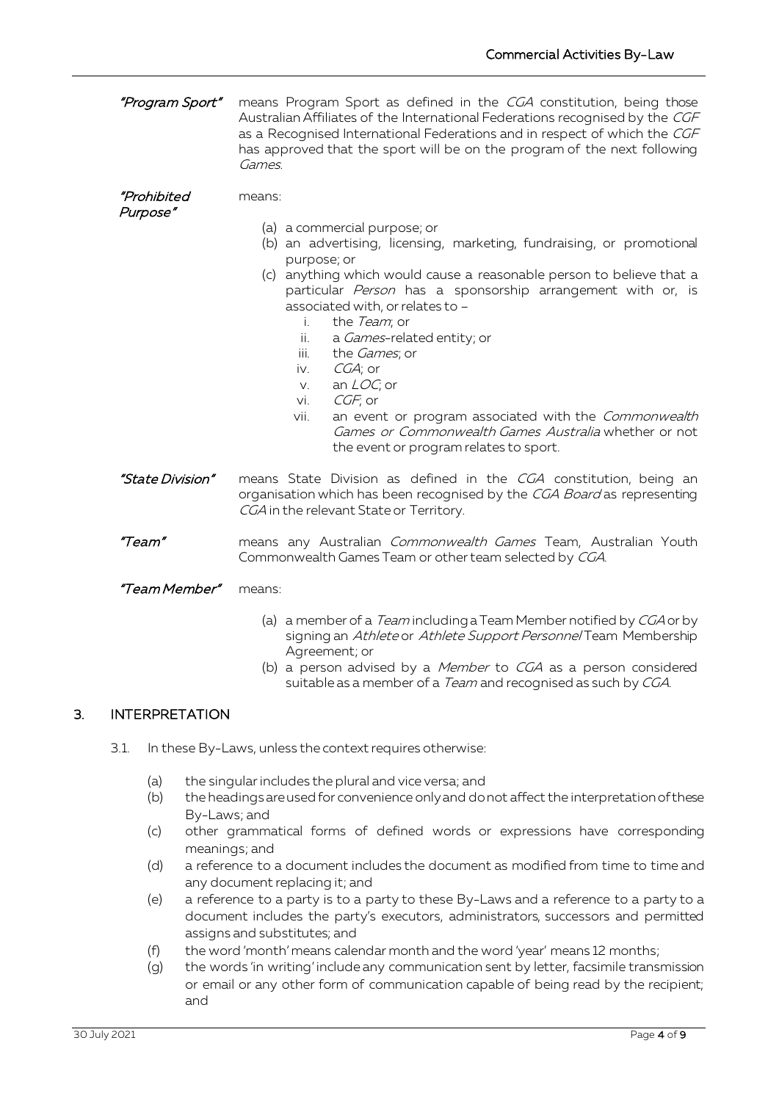| "Program Sport"         | means Program Sport as defined in the CGA constitution, being those<br>Australian Affiliates of the International Federations recognised by the CGF<br>as a Recognised International Federations and in respect of which the CGF<br>has approved that the sport will be on the program of the next following<br>Games.                                                                                                                                                                                                                                                                                                                |  |  |
|-------------------------|---------------------------------------------------------------------------------------------------------------------------------------------------------------------------------------------------------------------------------------------------------------------------------------------------------------------------------------------------------------------------------------------------------------------------------------------------------------------------------------------------------------------------------------------------------------------------------------------------------------------------------------|--|--|
| "Prohibited<br>Purpose" | means:<br>(a) a commercial purpose; or<br>(b) an advertising, licensing, marketing, fundraising, or promotional<br>purpose; or<br>(c) anything which would cause a reasonable person to believe that a<br>particular Person has a sponsorship arrangement with or, is<br>associated with, or relates to -<br>the Team; or<br>i.<br>ii.<br>a Games-related entity; or<br>iii.<br>the <i>Games</i> ; or<br>$CGA$ ; or<br>iv.<br>an $LOC$ ; or<br>V.<br>CGF; or<br>vi.<br>an event or program associated with the Commonwealth<br>vii.<br>Games or Commonwealth Games Australia whether or not<br>the event or program relates to sport. |  |  |
| "State Division"        | means State Division as defined in the CGA constitution, being an<br>organisation which has been recognised by the CGA Board as representing<br>CGA in the relevant State or Territory.                                                                                                                                                                                                                                                                                                                                                                                                                                               |  |  |
| "Team"                  | means any Australian Commonwealth Games Team, Australian Youth<br>Commonwealth Games Team or other team selected by CGA.                                                                                                                                                                                                                                                                                                                                                                                                                                                                                                              |  |  |
| "Team Member"           | means:                                                                                                                                                                                                                                                                                                                                                                                                                                                                                                                                                                                                                                |  |  |

- (a) a member of a *Team* including a Team Member notified by CGA or by signing an Athlete or Athlete Support Personnel Team Membership Agreement; or
- (b) a person advised by a *Member* to CGA as a person considered suitable as a member of a *Team* and recognised as such by CGA.

### 3. INTERPRETATION

- 3.1. In these By-Laws, unless the context requires otherwise:
	- (a) the singular includes the plural and vice versa; and
	- (b) the headings are used for convenience only and do not affect the interpretation of these By-Laws; and
	- (c) other grammatical forms of defined words or expressions have corresponding meanings; and
	- (d) a reference to a document includes the document as modified from time to time and any document replacing it; and
	- (e) a reference to a party is to a party to these By-Laws and a reference to a party to a document includes the party's executors, administrators, successors and permitted assigns and substitutes; and
	- (f) the word 'month' means calendar month and the word 'year' means 12 months;
	- (g) the words 'in writing' include any communication sent by letter, facsimile transmission or email or any other form of communication capable of being read by the recipient; and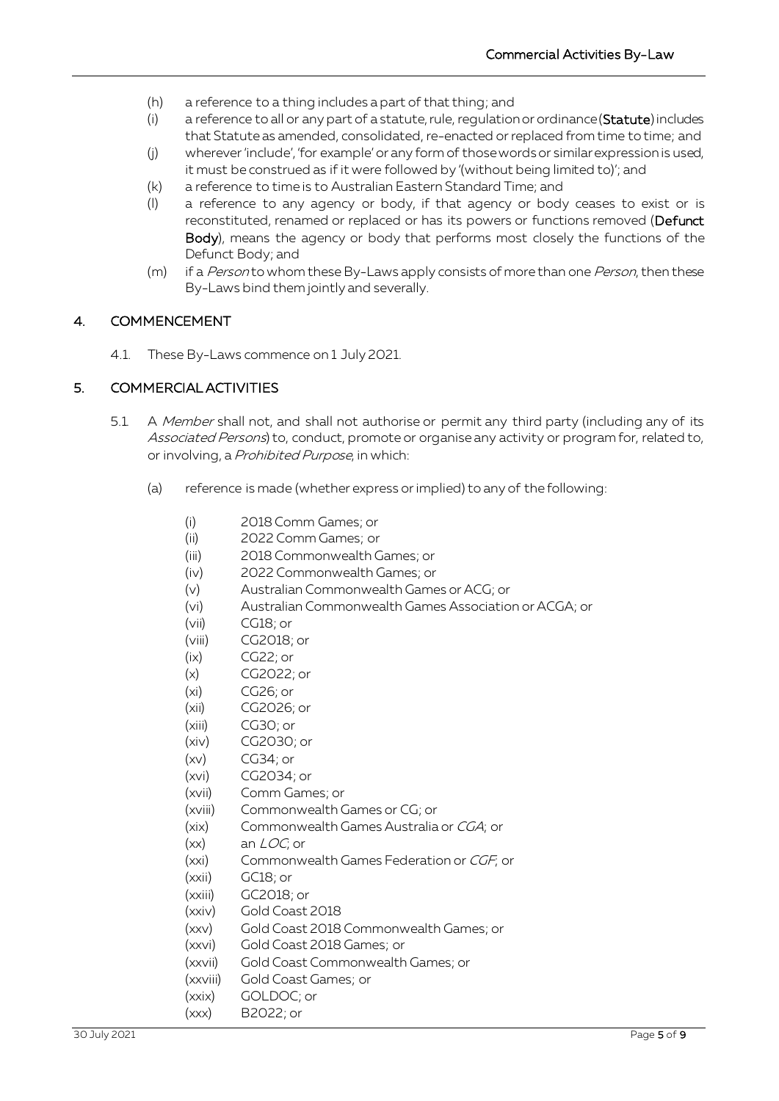- (h) a reference to a thing includes a part of that thing; and
- (i) a reference to all or any part of a statute, rule, regulation or ordinance (Statute) includes that Statute as amended, consolidated, re-enacted or replaced from time to time; and
- (j) wherever 'include', 'for example' or any form of those words or similar expression is used, it must be construed as if it were followed by '(without being limited to)'; and
- (k) a reference to time is to Australian Eastern Standard Time; and
- (l) a reference to any agency or body, if that agency or body ceases to exist or is reconstituted, renamed or replaced or has its powers or functions removed (Defunct Body), means the agency or body that performs most closely the functions of the Defunct Body; and
- (m) if a Person to whom these By-Laws apply consists of more than one Person, then these By-Laws bind them jointly and severally.

### 4. COMMENCEMENT

4.1. These By-Laws commence on 1 July 2021.

#### <span id="page-4-0"></span>5. COMMERCIAL ACTIVITIES

- <span id="page-4-2"></span><span id="page-4-1"></span>5.1. A Member shall not, and shall not authorise or permit any third party (including any of its Associated Persons) to, conduct, promote or organise any activity or program for, related to, or involving, a Prohibited Purpose, in which:
	- (a) reference is made (whether express or implied) to any of the following:
		- (i) 2018 Comm Games; or
		- (ii) 2022 Comm Games; or
		- (iii) 2018 Commonwealth Games; or
		- (iv) 2022 Commonwealth Games; or
		- (v) Australian Commonwealth Games or ACG; or
		- (vi) Australian Commonwealth Games Association or ACGA; or
		- (vii) CG18; or
		- (viii) CG2018; or
		- (ix) CG22; or
		- (x) CG2022; or
		- (xi) CG26; or
		- (xii) CG2026; or
		- (xiii) CG30; or
		- (xiv) CG2030; or
		- $(xv)$  CG34; or
		- (xvi) CG2034; or
		- (xvii) Comm Games; or
		- (xviii) Commonwealth Games or CG; or
		- (xix) Commonwealth Games Australia or CGA; or
		- $(xx)$  an  $LOC$ ; or
		- (xxi) Commonwealth Games Federation or CGF; or
		- (xxii) GC18; or
		- (xxiii) GC2018; or
		- (xxiv) Gold Coast 2018
		- (xxv) Gold Coast 2018 Commonwealth Games; or
		- (xxvi) Gold Coast 2018 Games; or
		- (xxvii) Gold Coast Commonwealth Games; or
		- (xxviii) Gold Coast Games; or
		- (xxix) GOLDOC; or
		- (xxx) B2022; or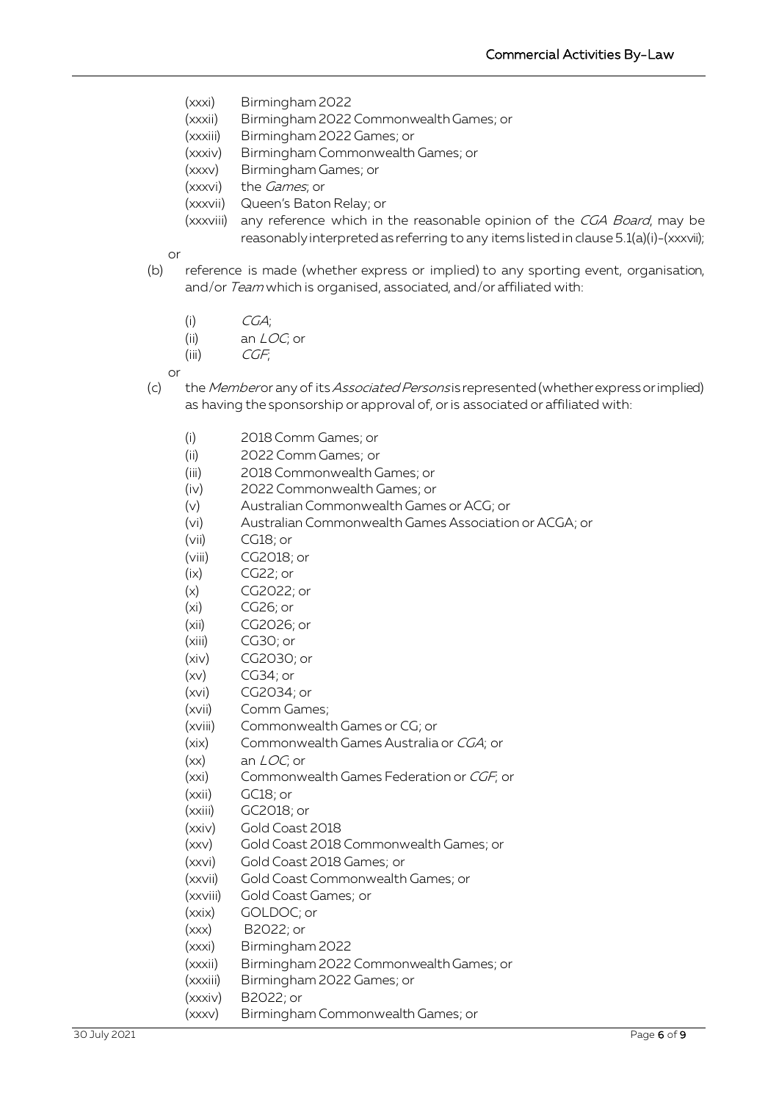- (xxxi) Birmingham 2022
- (xxxii) Birmingham 2022 Commonwealth Games; or
- (xxxiii) Birmingham 2022 Games; or
- (xxxiv) Birmingham Commonwealth Games; or
- (xxxv) Birmingham Games; or
- (xxxvi) the Games; or
- (xxxvii) Queen's Baton Relay; or
- (xxxviii) any reference which in the reasonable opinion of the CGA Board, may be reasonably interpreted as referring to any items listed in clause [5.1](#page-4-0)[\(a\)](#page-4-1)[\(i\)](#page-4-2)[-\(xxxvii\);](#page-5-0)

<span id="page-5-0"></span>or

- (b) reference is made (whether express or implied) to any sporting event, organisation, and/or Team which is organised, associated, and/or affiliated with:
	- $(i)$   $CGA;$
	- (ii) an LOC; or
	- $(iii)$  *CGF*;

or

- <span id="page-5-2"></span><span id="page-5-1"></span>(c) the Memberor any of its Associated Persons is represented (whether express or implied) as having the sponsorship or approval of, or is associated or affiliated with:
	- (i) 2018 Comm Games; or
	- (ii) 2022 Comm Games; or
	- (iii) 2018 Commonwealth Games; or
	- (iv) 2022 Commonwealth Games; or
	- (v) Australian Commonwealth Games or ACG; or
	- (vi) Australian Commonwealth Games Association or ACGA; or
	- (vii) CG18; or
	- (viii) CG2018; or
	- (ix) CG22; or
	- (x) CG2022; or
	- (xi) CG26; or
	- (xii) CG2026; or
	- (xiii) CG30; or
	- (xiv) CG2030; or
	- (xv) CG34; or
	- (xvi) CG2034; or
	- (xvii) Comm Games;
	- (xviii) Commonwealth Games or CG; or
	- (xix) Commonwealth Games Australia or CGA; or
	- $(xx)$  an  $LOC$ ; or
	- (xxi) Commonwealth Games Federation or CGF; or
	- (xxii) GC18; or
	- (xxiii) GC2018; or
	- (xxiv) Gold Coast 2018
	- (xxv) Gold Coast 2018 Commonwealth Games; or
	- (xxvi) Gold Coast 2018 Games; or
	- (xxvii) Gold Coast Commonwealth Games; or
	- (xxviii) Gold Coast Games; or
	- (xxix) GOLDOC; or
	- (xxx) B2022; or
	- (xxxi) Birmingham 2022
	- (xxxii) Birmingham 2022 Commonwealth Games; or
	- (xxxiii) Birmingham 2022 Games; or
	- (xxxiv) B2022; or
	- (xxxv) Birmingham Commonwealth Games; or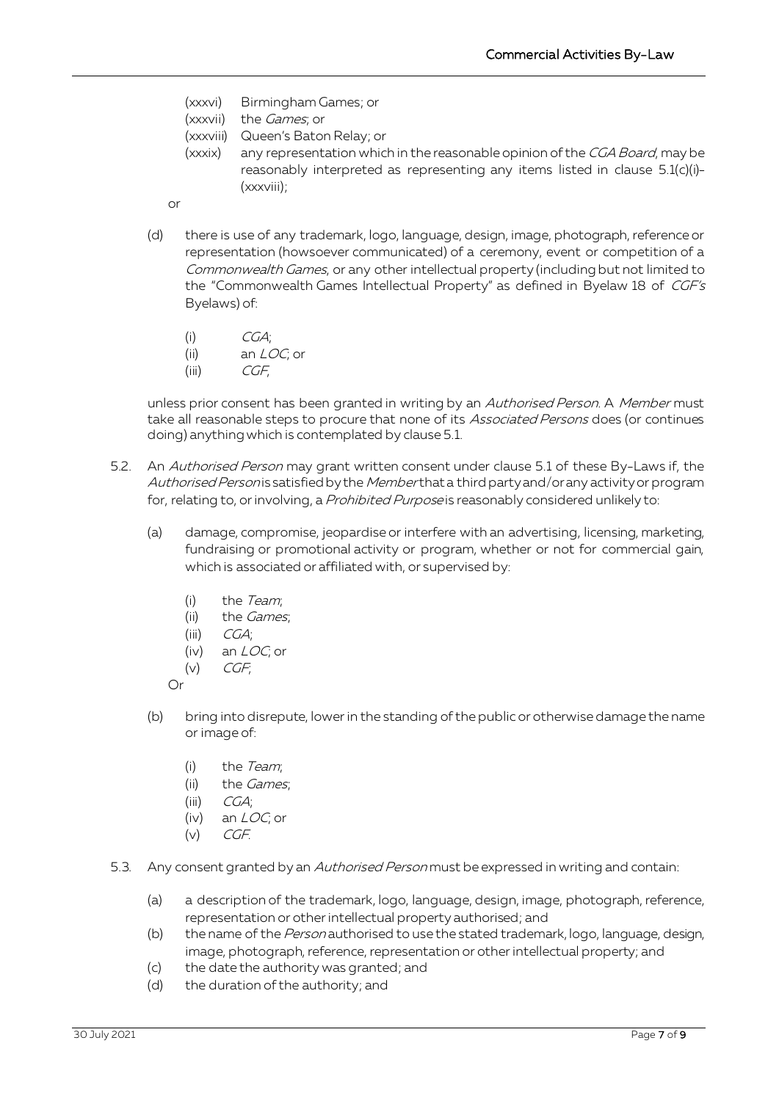- (xxxvi) Birmingham Games; or
- (xxxvii) the *Games*; or
- <span id="page-6-0"></span>(xxxviii) Queen's Baton Relay; or
- (xxxix) any representation which in the reasonable opinion of the CGA Board, may be reasonably interpreted as representing any items listed in clause [5.1](#page-4-0)[\(c\)](#page-5-1)[\(i\)-](#page-5-2) [\(xxxviii\);](#page-6-0)
- or
- (d) there is use of any trademark, logo, language, design, image, photograph, reference or representation (howsoever communicated) of a ceremony, event or competition of a Commonwealth Games, or any other intellectual property (including but not limited to the "Commonwealth Games Intellectual Property" as defined in Byelaw 18 of CGF's Byelaws) of:
	- $(CGA;$
	- (ii) an LOC; or
	- $(iii)$  *CGF.*

unless prior consent has been granted in writing by an Authorised Person. A Member must take all reasonable steps to procure that none of its Associated Persons does (or continues doing) anything which is contemplated by clause 5.1.

- 5.2. An Authorised Person may grant written consent under clause 5.1 of these By-Laws if, the Authorised Personis satisfied by the Memberthat a third party and/or any activity or program for, relating to, or involving, a *Prohibited Purpose* is reasonably considered unlikely to:
	- (a) damage, compromise, jeopardise or interfere with an advertising, licensing, marketing, fundraising or promotional activity or program, whether or not for commercial gain, which is associated or affiliated with, or supervised by:
		- (i) the Team;
		- (ii) the *Games*;
		- $(iii)$  *CGA*;
		- (iv) an LOC; or
		- $(v)$  CGF;

Or

- (b) bring into disrepute, lower in the standing of the public or otherwise damage the name or image of:
	- (i) the Team;
	- (ii) the Games;
	- $(iii)$   $CGA;$
	- (iv) an LOC; or
	- $(v)$  CGF.
- 5.3. Any consent granted by an *Authorised Person* must be expressed in writing and contain:
	- (a) a description of the trademark, logo, language, design, image, photograph, reference, representation or other intellectual property authorised; and
	- (b) the name of the Person authorised to use the stated trademark, logo, language, design, image, photograph, reference, representation or other intellectual property; and
	- (c) the date the authority was granted; and
	- (d) the duration of the authority; and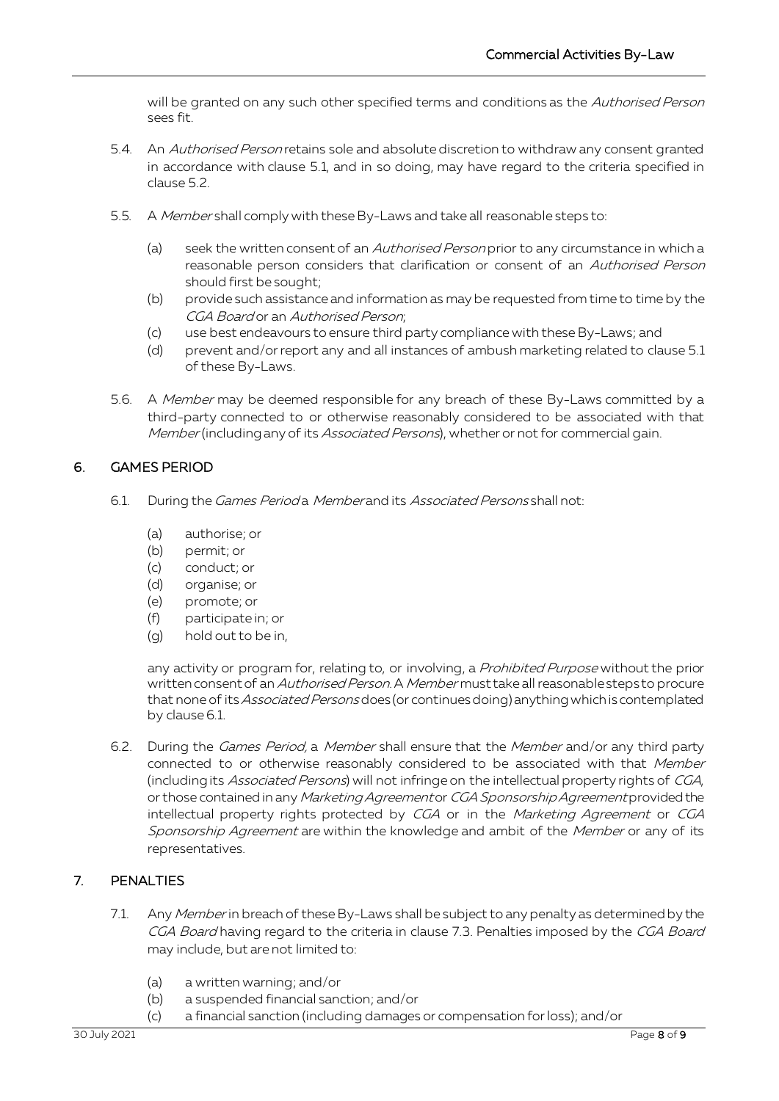will be granted on any such other specified terms and conditions as the Authorised Person sees fit.

- 5.4. An Authorised Person retains sole and absolute discretion to withdraw any consent granted in accordance with clause 5.1, and in so doing, may have regard to the criteria specified in clause 5.2.
- 5.5. A Member shall comply with these By-Laws and take all reasonable steps to:
	- (a) seek the written consent of an *Authorised Person* prior to any circumstance in which a reasonable person considers that clarification or consent of an Authorised Person should first be sought;
	- (b) provide such assistance and information as may be requested from time to time by the CGA Board or an Authorised Person;
	- (c) use best endeavours to ensure third party compliance with these By-Laws; and
	- (d) prevent and/or report any and all instances of ambush marketing related to clause 5.1 of these By-Laws.
- 5.6. A Member may be deemed responsible for any breach of these By-Laws committed by a third-party connected to or otherwise reasonably considered to be associated with that Member (including any of its Associated Persons), whether or not for commercial gain.

### 6. GAMES PERIOD

- 6.1. During the Games Period a Member and its Associated Persons shall not:
	- (a) authorise; or
	- (b) permit; or
	- (c) conduct; or
	- (d) organise; or
	- (e) promote; or
	- (f) participate in; or
	- (g) hold out to be in,

any activity or program for, relating to, or involving, a Prohibited Purpose without the prior written consent of an Authorised Person. A Member must take all reasonable steps to procure that none of its *Associated Persons* does (or continues doing) anything which is contemplated by clause 6.1.

6.2. During the *Games Period*, a *Member* shall ensure that the *Member* and/or any third party connected to or otherwise reasonably considered to be associated with that Member (including its Associated Persons) will not infringe on the intellectual property rights of CGA, or those contained in any Marketing Agreementor CGA Sponsorship Agreement provided the intellectual property rights protected by CGA or in the Marketing Agreement or CGA Sponsorship Agreement are within the knowledge and ambit of the Member or any of its representatives.

### 7. PENALTIES

- 7.1. Any Member in breach of these By-Laws shall be subject to any penalty as determined by the CGA Board having regard to the criteria in clause [7.3.](#page-8-0) Penalties imposed by the CGA Board may include, but are not limited to:
	- (a) a written warning; and/or
	- (b) a suspended financial sanction; and/or
	- (c) a financial sanction (including damages or compensation for loss); and/or